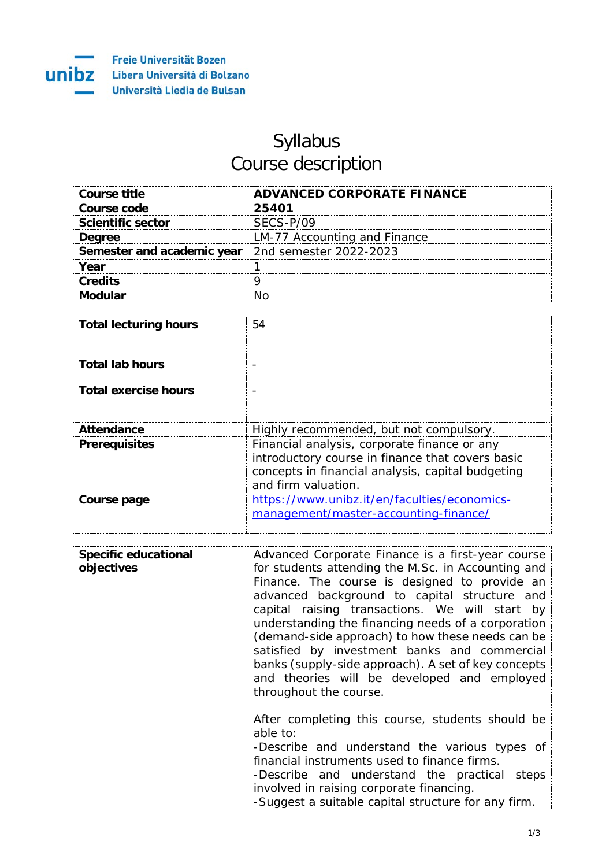

## Syllabus Course description

| Course title                                               | ADVANCED CORPORATE FINANCE   |
|------------------------------------------------------------|------------------------------|
| Course code                                                | 25401                        |
| <b>Scientific sector</b>                                   | SFCS-P/09                    |
| <b>Degree</b>                                              | LM-77 Accounting and Finance |
| <b>Semester and academic year</b>   2nd semester 2022-2023 |                              |
| Vear                                                       |                              |
| <b>Credits</b>                                             |                              |
|                                                            |                              |

| <b>Total lecturing hours</b> | 54                                                                                                                                                                           |
|------------------------------|------------------------------------------------------------------------------------------------------------------------------------------------------------------------------|
| <b>Total lab hours</b>       |                                                                                                                                                                              |
| <b>Total exercise hours</b>  |                                                                                                                                                                              |
| <b>Attendance</b>            | Highly recommended, but not compulsory.                                                                                                                                      |
| <b>Prerequisites</b>         | Financial analysis, corporate finance or any<br>introductory course in finance that covers basic<br>concepts in financial analysis, capital budgeting<br>and firm valuation. |
| Course page                  | https://www.unibz.it/en/faculties/economics-<br>management/master-accounting-finance/                                                                                        |

| <b>Specific educational</b><br>objectives | Advanced Corporate Finance is a first-year course<br>for students attending the M.Sc. in Accounting and<br>Finance. The course is designed to provide an<br>advanced background to capital structure and<br>capital raising transactions. We will start by<br>understanding the financing needs of a corporation<br>(demand-side approach) to how these needs can be<br>satisfied by investment banks and commercial<br>banks (supply-side approach). A set of key concepts<br>and theories will be developed and employed<br>throughout the course. |
|-------------------------------------------|------------------------------------------------------------------------------------------------------------------------------------------------------------------------------------------------------------------------------------------------------------------------------------------------------------------------------------------------------------------------------------------------------------------------------------------------------------------------------------------------------------------------------------------------------|
|                                           | After completing this course, students should be<br>able to:<br>-Describe and understand the various types of<br>financial instruments used to finance firms.<br>-Describe and understand the practical steps<br>involved in raising corporate financing.<br>-Suggest a suitable capital structure for any firm.                                                                                                                                                                                                                                     |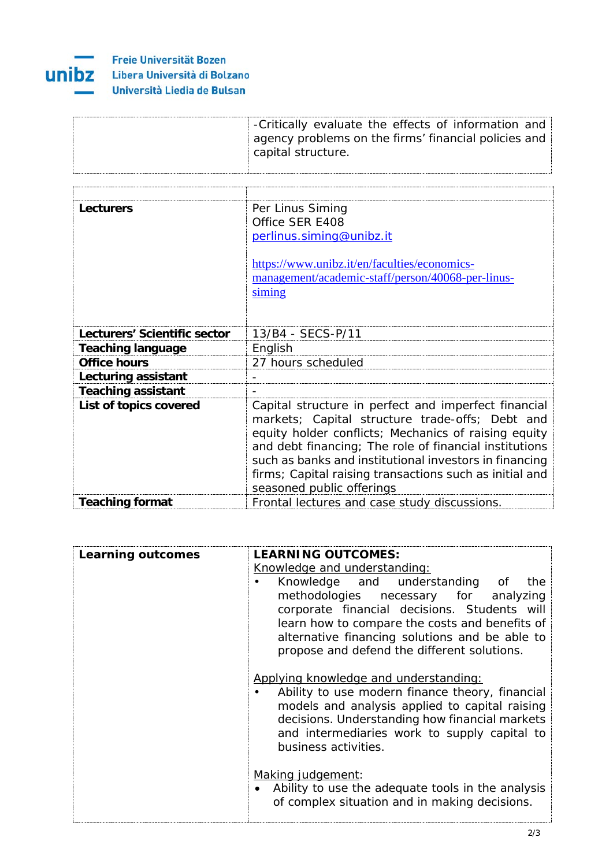

## **Freie Universität Bozen UNIDZ** Libera Università di Bolzano Università Liedia de Bulsan

| -Critically evaluate the effects of information and  |
|------------------------------------------------------|
| agency problems on the firms' financial policies and |
| capital structure.                                   |
|                                                      |

| Lecturers                    | Per Linus Siming                                        |
|------------------------------|---------------------------------------------------------|
|                              | Office SER E408                                         |
|                              | perlinus.siming@unibz.it                                |
|                              |                                                         |
|                              | https://www.unibz.it/en/faculties/economics-            |
|                              | management/academic-staff/person/40068-per-linus-       |
|                              | siming                                                  |
|                              |                                                         |
|                              |                                                         |
| Lecturers' Scientific sector | 13/B4 - SECS-P/11                                       |
| <b>Teaching language</b>     | English                                                 |
| <b>Office hours</b>          | 27 hours scheduled                                      |
| Lecturing assistant          |                                                         |
| <b>Teaching assistant</b>    |                                                         |
| List of topics covered       | Capital structure in perfect and imperfect financial    |
|                              | markets; Capital structure trade-offs; Debt and         |
|                              | equity holder conflicts; Mechanics of raising equity    |
|                              | and debt financing; The role of financial institutions  |
|                              | such as banks and institutional investors in financing  |
|                              | firms; Capital raising transactions such as initial and |
|                              | seasoned public offerings                               |
| <b>Teaching format</b>       | Frontal lectures and case study discussions.            |

| <b>Learning outcomes</b> | <b>LEARNING OUTCOMES:</b>                                                                                                                                                                                                                                            |
|--------------------------|----------------------------------------------------------------------------------------------------------------------------------------------------------------------------------------------------------------------------------------------------------------------|
|                          | Knowledge and understanding:                                                                                                                                                                                                                                         |
|                          | Knowledge and understanding of<br>the<br>methodologies necessary for analyzing<br>corporate financial decisions. Students will<br>learn how to compare the costs and benefits of<br>alternative financing solutions and be able to                                   |
|                          | propose and defend the different solutions.                                                                                                                                                                                                                          |
|                          | Applying knowledge and understanding:<br>Ability to use modern finance theory, financial<br>models and analysis applied to capital raising<br>decisions. Understanding how financial markets<br>and intermediaries work to supply capital to<br>business activities. |
|                          | Making judgement:<br>Ability to use the adequate tools in the analysis<br>of complex situation and in making decisions.                                                                                                                                              |